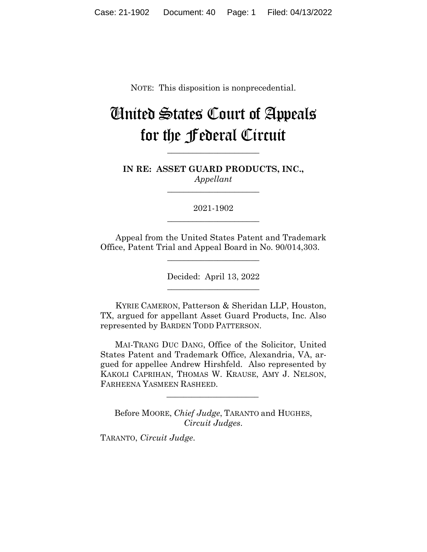NOTE: This disposition is nonprecedential.

# United States Court of Appeals for the Federal Circuit

**IN RE: ASSET GUARD PRODUCTS, INC.,** *Appellant*

**\_\_\_\_\_\_\_\_\_\_\_\_\_\_\_\_\_\_\_\_\_\_** 

**\_\_\_\_\_\_\_\_\_\_\_\_\_\_\_\_\_\_\_\_\_\_** 

2021-1902 **\_\_\_\_\_\_\_\_\_\_\_\_\_\_\_\_\_\_\_\_\_\_** 

Appeal from the United States Patent and Trademark Office, Patent Trial and Appeal Board in No. 90/014,303.

 $\overline{\phantom{a}}$  , where  $\overline{\phantom{a}}$  , where  $\overline{\phantom{a}}$  , where  $\overline{\phantom{a}}$ 

Decided: April 13, 2022  $\overline{\phantom{a}}$  , where  $\overline{\phantom{a}}$  , where  $\overline{\phantom{a}}$  , where  $\overline{\phantom{a}}$ 

KYRIE CAMERON, Patterson & Sheridan LLP, Houston, TX, argued for appellant Asset Guard Products, Inc. Also represented by BARDEN TODD PATTERSON.

 MAI-TRANG DUC DANG, Office of the Solicitor, United States Patent and Trademark Office, Alexandria, VA, argued for appellee Andrew Hirshfeld. Also represented by KAKOLI CAPRIHAN, THOMAS W. KRAUSE, AMY J. NELSON, FARHEENA YASMEEN RASHEED.

Before MOORE, *Chief Judge*, TARANTO and HUGHES, *Circuit Judges*.

 $\mathcal{L}_\text{max}$  and  $\mathcal{L}_\text{max}$  and  $\mathcal{L}_\text{max}$  and  $\mathcal{L}_\text{max}$ 

TARANTO, *Circuit Judge*.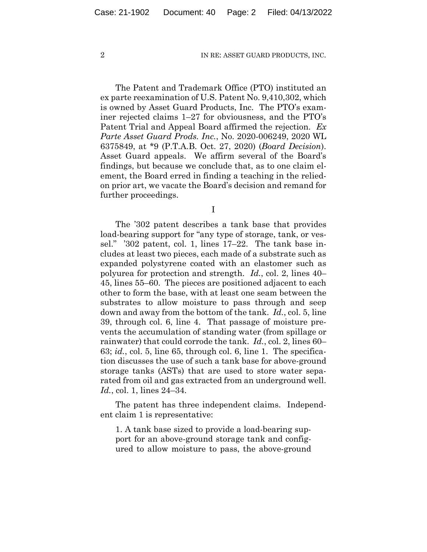The Patent and Trademark Office (PTO) instituted an ex parte reexamination of U.S. Patent No. 9,410,302, which is owned by Asset Guard Products, Inc. The PTO's examiner rejected claims 1–27 for obviousness, and the PTO's Patent Trial and Appeal Board affirmed the rejection. *Ex Parte Asset Guard Prods. Inc.*, No. 2020-006249, 2020 WL 6375849, at \*9 (P.T.A.B. Oct. 27, 2020) (*Board Decision*). Asset Guard appeals. We affirm several of the Board's findings, but because we conclude that, as to one claim element, the Board erred in finding a teaching in the reliedon prior art, we vacate the Board's decision and remand for further proceedings.

I

The '302 patent describes a tank base that provides load-bearing support for "any type of storage, tank, or vessel." '302 patent, col. 1, lines 17–22. The tank base includes at least two pieces, each made of a substrate such as expanded polystyrene coated with an elastomer such as polyurea for protection and strength. *Id.*, col. 2, lines 40– 45, lines 55–60. The pieces are positioned adjacent to each other to form the base, with at least one seam between the substrates to allow moisture to pass through and seep down and away from the bottom of the tank. *Id.*, col. 5, line 39, through col. 6, line 4. That passage of moisture prevents the accumulation of standing water (from spillage or rainwater) that could corrode the tank. *Id.*, col. 2, lines 60– 63; *id.*, col. 5, line 65, through col. 6, line 1. The specification discusses the use of such a tank base for above-ground storage tanks (ASTs) that are used to store water separated from oil and gas extracted from an underground well. *Id.*, col. 1, lines 24–34.

The patent has three independent claims. Independent claim 1 is representative:

1. A tank base sized to provide a load-bearing support for an above-ground storage tank and configured to allow moisture to pass, the above-ground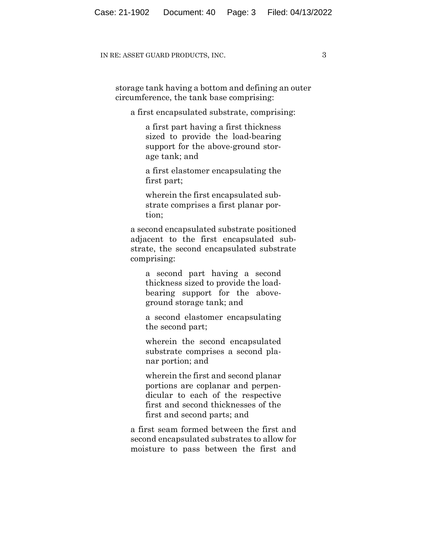storage tank having a bottom and defining an outer circumference, the tank base comprising:

a first encapsulated substrate, comprising:

a first part having a first thickness sized to provide the load-bearing support for the above-ground storage tank; and

a first elastomer encapsulating the first part;

wherein the first encapsulated substrate comprises a first planar portion;

a second encapsulated substrate positioned adjacent to the first encapsulated substrate, the second encapsulated substrate comprising:

a second part having a second thickness sized to provide the loadbearing support for the aboveground storage tank; and

a second elastomer encapsulating the second part;

wherein the second encapsulated substrate comprises a second planar portion; and

wherein the first and second planar portions are coplanar and perpendicular to each of the respective first and second thicknesses of the first and second parts; and

a first seam formed between the first and second encapsulated substrates to allow for moisture to pass between the first and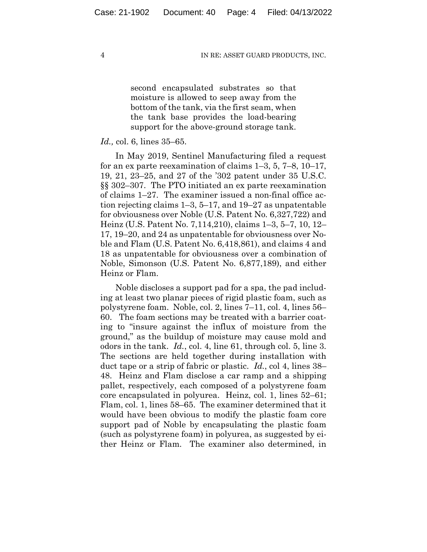second encapsulated substrates so that moisture is allowed to seep away from the bottom of the tank, via the first seam, when the tank base provides the load-bearing support for the above-ground storage tank.

## *Id.,* col. 6, lines 35–65.

In May 2019, Sentinel Manufacturing filed a request for an ex parte reexamination of claims 1–3, 5, 7–8, 10–17, 19, 21, 23–25, and 27 of the '302 patent under 35 U.S.C. §§ 302–307. The PTO initiated an ex parte reexamination of claims 1–27. The examiner issued a non-final office action rejecting claims 1–3, 5–17, and 19–27 as unpatentable for obviousness over Noble (U.S. Patent No. 6,327,722) and Heinz (U.S. Patent No. 7,114,210), claims 1–3, 5–7, 10, 12– 17, 19–20, and 24 as unpatentable for obviousness over Noble and Flam (U.S. Patent No. 6,418,861), and claims 4 and 18 as unpatentable for obviousness over a combination of Noble, Simonson (U.S. Patent No. 6,877,189), and either Heinz or Flam.

Noble discloses a support pad for a spa, the pad including at least two planar pieces of rigid plastic foam, such as polystyrene foam. Noble, col. 2, lines 7–11, col. 4, lines 56– 60. The foam sections may be treated with a barrier coating to "insure against the influx of moisture from the ground," as the buildup of moisture may cause mold and odors in the tank. *Id.*, col. 4, line 61, through col. 5, line 3. The sections are held together during installation with duct tape or a strip of fabric or plastic. *Id.*, col 4, lines 38– 48. Heinz and Flam disclose a car ramp and a shipping pallet, respectively, each composed of a polystyrene foam core encapsulated in polyurea. Heinz, col. 1, lines 52–61; Flam, col. 1, lines 58–65. The examiner determined that it would have been obvious to modify the plastic foam core support pad of Noble by encapsulating the plastic foam (such as polystyrene foam) in polyurea, as suggested by either Heinz or Flam. The examiner also determined, in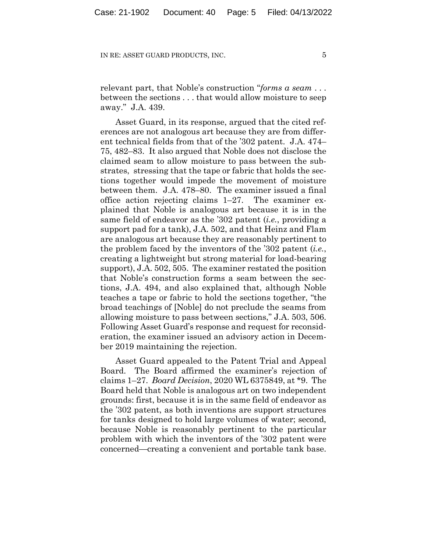relevant part, that Noble's construction "*forms a seam* . . . between the sections . . . that would allow moisture to seep away." J.A. 439.

Asset Guard, in its response, argued that the cited references are not analogous art because they are from different technical fields from that of the '302 patent. J.A. 474– 75, 482–83. It also argued that Noble does not disclose the claimed seam to allow moisture to pass between the substrates, stressing that the tape or fabric that holds the sections together would impede the movement of moisture between them. J.A. 478–80. The examiner issued a final office action rejecting claims 1–27.The examiner explained that Noble is analogous art because it is in the same field of endeavor as the '302 patent (*i.e.*, providing a support pad for a tank), J.A. 502, and that Heinz and Flam are analogous art because they are reasonably pertinent to the problem faced by the inventors of the '302 patent (*i.e.*, creating a lightweight but strong material for load-bearing support), J.A. 502, 505. The examiner restated the position that Noble's construction forms a seam between the sections, J.A. 494, and also explained that, although Noble teaches a tape or fabric to hold the sections together, "the broad teachings of [Noble] do not preclude the seams from allowing moisture to pass between sections," J.A. 503, 506. Following Asset Guard's response and request for reconsideration, the examiner issued an advisory action in December 2019 maintaining the rejection.

Asset Guard appealed to the Patent Trial and Appeal Board. The Board affirmed the examiner's rejection of claims 1–27. *Board Decision*, 2020 WL 6375849, at \*9. The Board held that Noble is analogous art on two independent grounds: first, because it is in the same field of endeavor as the '302 patent, as both inventions are support structures for tanks designed to hold large volumes of water; second, because Noble is reasonably pertinent to the particular problem with which the inventors of the '302 patent were concerned—creating a convenient and portable tank base.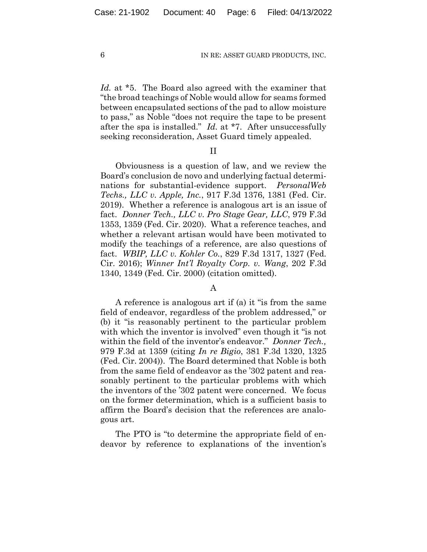*Id.* at \*5. The Board also agreed with the examiner that "the broad teachings of Noble would allow for seams formed between encapsulated sections of the pad to allow moisture to pass," as Noble "does not require the tape to be present after the spa is installed." *Id.* at \*7. After unsuccessfully seeking reconsideration, Asset Guard timely appealed.

# II

Obviousness is a question of law, and we review the Board's conclusion de novo and underlying factual determinations for substantial-evidence support. *PersonalWeb Techs., LLC v. Apple, Inc.*, 917 F.3d 1376, 1381 (Fed. Cir. 2019). Whether a reference is analogous art is an issue of fact. *Donner Tech., LLC v. Pro Stage Gear, LLC*, 979 F.3d 1353, 1359 (Fed. Cir. 2020). What a reference teaches, and whether a relevant artisan would have been motivated to modify the teachings of a reference, are also questions of fact. *WBIP, LLC v. Kohler Co.*, 829 F.3d 1317, 1327 (Fed. Cir. 2016); *Winner Int'l Royalty Corp. v. Wang*, 202 F.3d 1340, 1349 (Fed. Cir. 2000) (citation omitted).

## A

A reference is analogous art if (a) it "is from the same field of endeavor, regardless of the problem addressed," or (b) it "is reasonably pertinent to the particular problem with which the inventor is involved" even though it "is not within the field of the inventor's endeavor." *Donner Tech.,* 979 F.3d at 1359 (citing *In re Bigio*, 381 F.3d 1320, 1325 (Fed. Cir. 2004)). The Board determined that Noble is both from the same field of endeavor as the '302 patent and reasonably pertinent to the particular problems with which the inventors of the '302 patent were concerned.We focus on the former determination, which is a sufficient basis to affirm the Board's decision that the references are analogous art.

The PTO is "to determine the appropriate field of endeavor by reference to explanations of the invention's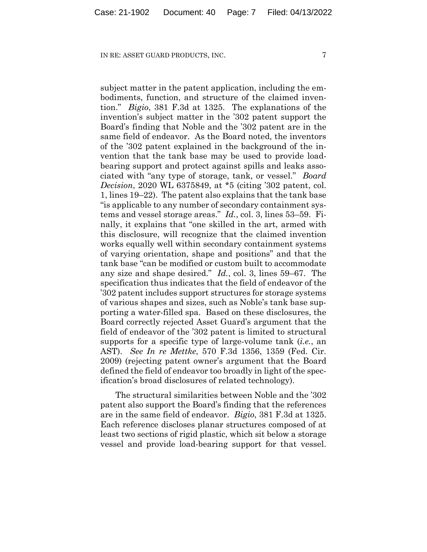subject matter in the patent application, including the embodiments, function, and structure of the claimed invention." *Bigio*, 381 F.3d at 1325. The explanations of the invention's subject matter in the '302 patent support the Board's finding that Noble and the '302 patent are in the same field of endeavor. As the Board noted, the inventors of the '302 patent explained in the background of the invention that the tank base may be used to provide loadbearing support and protect against spills and leaks associated with "any type of storage, tank, or vessel." *Board Decision*, 2020 WL 6375849, at \*5 (citing '302 patent, col. 1, lines 19–22). The patent also explains that the tank base "is applicable to any number of secondary containment systems and vessel storage areas." *Id.*, col. 3, lines 53–59. Finally, it explains that "one skilled in the art, armed with this disclosure, will recognize that the claimed invention works equally well within secondary containment systems of varying orientation, shape and positions" and that the tank base "can be modified or custom built to accommodate any size and shape desired." *Id.*, col. 3, lines 59–67. The specification thus indicates that the field of endeavor of the '302 patent includes support structures for storage systems of various shapes and sizes, such as Noble's tank base supporting a water-filled spa. Based on these disclosures, the Board correctly rejected Asset Guard's argument that the field of endeavor of the '302 patent is limited to structural supports for a specific type of large-volume tank (*i.e.*, an AST). *See In re Mettke*, 570 F.3d 1356, 1359 (Fed. Cir. 2009) (rejecting patent owner's argument that the Board defined the field of endeavor too broadly in light of the specification's broad disclosures of related technology).

The structural similarities between Noble and the '302 patent also support the Board's finding that the references are in the same field of endeavor. *Bigio*, 381 F.3d at 1325. Each reference discloses planar structures composed of at least two sections of rigid plastic, which sit below a storage vessel and provide load-bearing support for that vessel.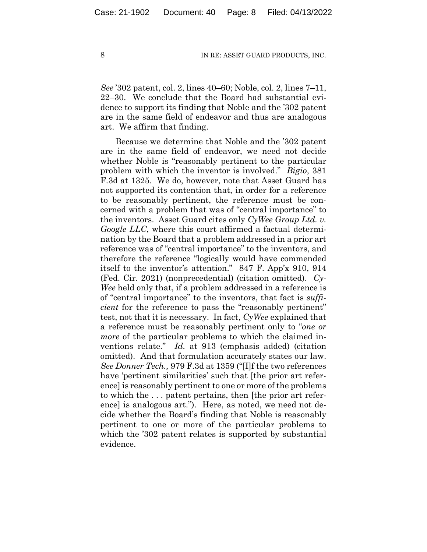*See* '302 patent, col. 2, lines 40–60; Noble, col. 2, lines 7–11, 22–30. We conclude that the Board had substantial evidence to support its finding that Noble and the '302 patent are in the same field of endeavor and thus are analogous art. We affirm that finding.

Because we determine that Noble and the '302 patent are in the same field of endeavor, we need not decide whether Noble is "reasonably pertinent to the particular problem with which the inventor is involved." *Bigio*, 381 F.3d at 1325. We do, however, note that Asset Guard has not supported its contention that, in order for a reference to be reasonably pertinent, the reference must be concerned with a problem that was of "central importance" to the inventors. Asset Guard cites only *CyWee Group Ltd. v. Google LLC*, where this court affirmed a factual determination by the Board that a problem addressed in a prior art reference was of "central importance" to the inventors, and therefore the reference "logically would have commended itself to the inventor's attention." 847 F. App'x 910, 914 (Fed. Cir. 2021) (nonprecedential) (citation omitted). *Cy-Wee* held only that, if a problem addressed in a reference is of "central importance" to the inventors, that fact is *sufficient* for the reference to pass the "reasonably pertinent" test, not that it is necessary. In fact, *CyWee* explained that a reference must be reasonably pertinent only to "*one or more* of the particular problems to which the claimed inventions relate." *Id.* at 913 (emphasis added) (citation omitted). And that formulation accurately states our law. *See Donner Tech.,* 979 F.3d at 1359 ("[I]f the two references have 'pertinent similarities' such that [the prior art reference] is reasonably pertinent to one or more of the problems to which the . . . patent pertains, then [the prior art reference] is analogous art.").Here, as noted, we need not decide whether the Board's finding that Noble is reasonably pertinent to one or more of the particular problems to which the '302 patent relates is supported by substantial evidence.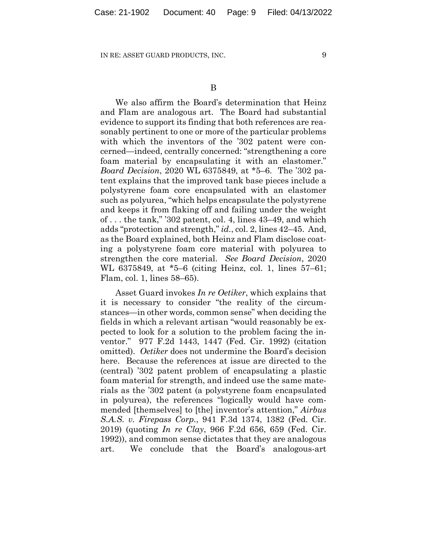We also affirm the Board's determination that Heinz and Flam are analogous art. The Board had substantial evidence to support its finding that both references are reasonably pertinent to one or more of the particular problems with which the inventors of the '302 patent were concerned—indeed, centrally concerned: "strengthening a core foam material by encapsulating it with an elastomer." *Board Decision*, 2020 WL 6375849, at \*5–6. The '302 patent explains that the improved tank base pieces include a polystyrene foam core encapsulated with an elastomer such as polyurea, "which helps encapsulate the polystyrene and keeps it from flaking off and failing under the weight of . . . the tank," '302 patent, col. 4, lines 43–49, and which adds "protection and strength," *id.*, col. 2, lines 42–45. And, as the Board explained, both Heinz and Flam disclose coating a polystyrene foam core material with polyurea to strengthen the core material. *See Board Decision*, 2020 WL 6375849, at \*5–6 (citing Heinz, col. 1, lines 57–61; Flam, col. 1, lines 58–65).

Asset Guard invokes *In re Oetiker*, which explains that it is necessary to consider "the reality of the circumstances—in other words, common sense" when deciding the fields in which a relevant artisan "would reasonably be expected to look for a solution to the problem facing the inventor." 977 F.2d 1443, 1447 (Fed. Cir. 1992) (citation omitted). *Oetiker* does not undermine the Board's decision here. Because the references at issue are directed to the (central) '302 patent problem of encapsulating a plastic foam material for strength, and indeed use the same materials as the '302 patent (a polystyrene foam encapsulated in polyurea), the references "logically would have commended [themselves] to [the] inventor's attention," *Airbus S.A.S. v. Firepass Corp.*, 941 F.3d 1374, 1382 (Fed. Cir. 2019) (quoting *In re Clay*, 966 F.2d 656, 659 (Fed. Cir. 1992)), and common sense dictates that they are analogous art. We conclude that the Board's analogous-art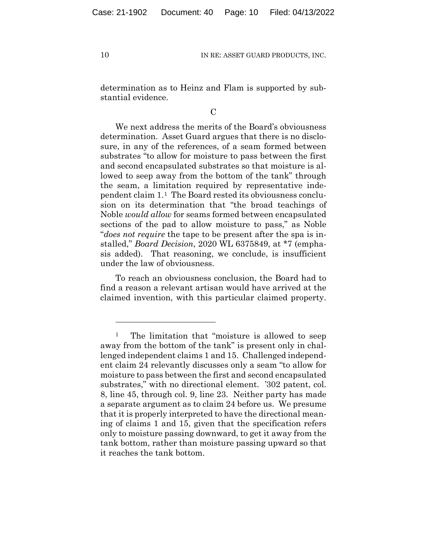determination as to Heinz and Flam is supported by substantial evidence.

 $\overline{C}$ 

We next address the merits of the Board's obviousness determination. Asset Guard argues that there is no disclosure, in any of the references, of a seam formed between substrates "to allow for moisture to pass between the first and second encapsulated substrates so that moisture is allowed to seep away from the bottom of the tank" through the seam, a limitation required by representative independent claim 1.1 The Board rested its obviousness conclusion on its determination that "the broad teachings of Noble *would allow* for seams formed between encapsulated sections of the pad to allow moisture to pass," as Noble "*does not require* the tape to be present after the spa is installed," *Board Decision*, 2020 WL 6375849, at \*7 (emphasis added). That reasoning, we conclude, is insufficient under the law of obviousness.

To reach an obviousness conclusion, the Board had to find a reason a relevant artisan would have arrived at the claimed invention, with this particular claimed property.

<sup>&</sup>lt;sup>1</sup> The limitation that "moisture is allowed to seep away from the bottom of the tank" is present only in challenged independent claims 1 and 15. Challenged independent claim 24 relevantly discusses only a seam "to allow for moisture to pass between the first and second encapsulated substrates," with no directional element. '302 patent, col. 8, line 45, through col. 9, line 23. Neither party has made a separate argument as to claim 24 before us. We presume that it is properly interpreted to have the directional meaning of claims 1 and 15, given that the specification refers only to moisture passing downward, to get it away from the tank bottom, rather than moisture passing upward so that it reaches the tank bottom.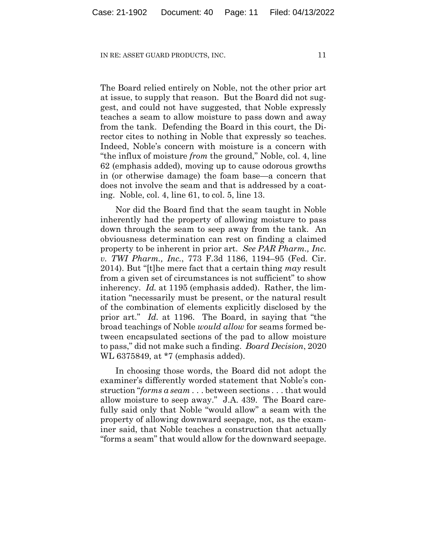The Board relied entirely on Noble, not the other prior art at issue, to supply that reason. But the Board did not suggest, and could not have suggested, that Noble expressly teaches a seam to allow moisture to pass down and away from the tank. Defending the Board in this court, the Director cites to nothing in Noble that expressly so teaches. Indeed, Noble's concern with moisture is a concern with "the influx of moisture *from* the ground," Noble, col. 4, line 62 (emphasis added), moving up to cause odorous growths in (or otherwise damage) the foam base—a concern that does not involve the seam and that is addressed by a coating. Noble, col. 4, line 61, to col. 5, line 13.

Nor did the Board find that the seam taught in Noble inherently had the property of allowing moisture to pass down through the seam to seep away from the tank. An obviousness determination can rest on finding a claimed property to be inherent in prior art. *See PAR Pharm., Inc. v. TWI Pharm., Inc.*, 773 F.3d 1186, 1194–95 (Fed. Cir. 2014). But "[t]he mere fact that a certain thing *may* result from a given set of circumstances is not sufficient" to show inherency. *Id.* at 1195 (emphasis added). Rather, the limitation "necessarily must be present, or the natural result of the combination of elements explicitly disclosed by the prior art." *Id.* at 1196. The Board, in saying that "the broad teachings of Noble *would allow* for seams formed between encapsulated sections of the pad to allow moisture to pass," did not make such a finding. *Board Decision*, 2020 WL 6375849, at \*7 (emphasis added).

In choosing those words, the Board did not adopt the examiner's differently worded statement that Noble's construction "*forms a seam* . . . between sections . . . that would allow moisture to seep away." J.A. 439. The Board carefully said only that Noble "would allow" a seam with the property of allowing downward seepage, not, as the examiner said, that Noble teaches a construction that actually "forms a seam" that would allow for the downward seepage.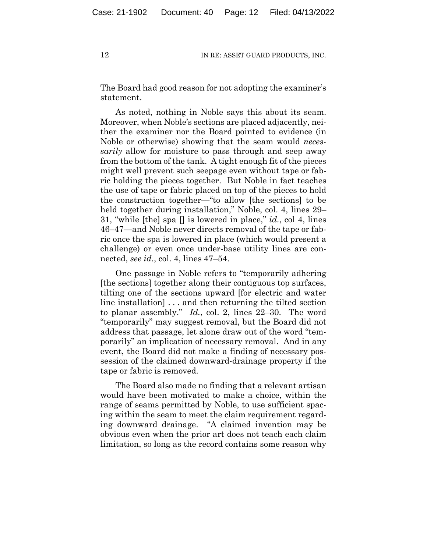The Board had good reason for not adopting the examiner's statement.

As noted, nothing in Noble says this about its seam. Moreover, when Noble's sections are placed adjacently, neither the examiner nor the Board pointed to evidence (in Noble or otherwise) showing that the seam would *necessarily* allow for moisture to pass through and seep away from the bottom of the tank. A tight enough fit of the pieces might well prevent such seepage even without tape or fabric holding the pieces together. But Noble in fact teaches the use of tape or fabric placed on top of the pieces to hold the construction together—"to allow [the sections] to be held together during installation," Noble, col. 4, lines 29– 31, "while [the] spa [] is lowered in place," *id.*, col 4, lines 46–47—and Noble never directs removal of the tape or fabric once the spa is lowered in place (which would present a challenge) or even once under-base utility lines are connected, *see id.*, col. 4, lines 47–54.

One passage in Noble refers to "temporarily adhering [the sections] together along their contiguous top surfaces, tilting one of the sections upward [for electric and water line installation] . . . and then returning the tilted section to planar assembly." *Id.*, col. 2, lines 22–30. The word "temporarily" may suggest removal, but the Board did not address that passage, let alone draw out of the word "temporarily" an implication of necessary removal. And in any event, the Board did not make a finding of necessary possession of the claimed downward-drainage property if the tape or fabric is removed.

The Board also made no finding that a relevant artisan would have been motivated to make a choice, within the range of seams permitted by Noble, to use sufficient spacing within the seam to meet the claim requirement regarding downward drainage. "A claimed invention may be obvious even when the prior art does not teach each claim limitation, so long as the record contains some reason why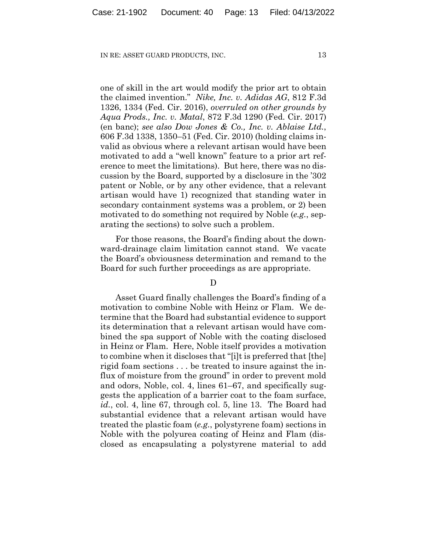one of skill in the art would modify the prior art to obtain the claimed invention." *Nike, Inc. v. Adidas AG*, 812 F.3d 1326, 1334 (Fed. Cir. 2016), *overruled on other grounds by Aqua Prods., Inc. v. Matal*, 872 F.3d 1290 (Fed. Cir. 2017) (en banc); *see also Dow Jones & Co., Inc. v. Ablaise Ltd.*, 606 F.3d 1338, 1350–51 (Fed. Cir. 2010) (holding claims invalid as obvious where a relevant artisan would have been motivated to add a "well known" feature to a prior art reference to meet the limitations). But here, there was no discussion by the Board, supported by a disclosure in the '302 patent or Noble, or by any other evidence, that a relevant artisan would have 1) recognized that standing water in secondary containment systems was a problem, or 2) been motivated to do something not required by Noble (*e.g.*, separating the sections) to solve such a problem.

For those reasons, the Board's finding about the downward-drainage claim limitation cannot stand. We vacate the Board's obviousness determination and remand to the Board for such further proceedings as are appropriate.

#### $\mathbf D$

Asset Guard finally challenges the Board's finding of a motivation to combine Noble with Heinz or Flam. We determine that the Board had substantial evidence to support its determination that a relevant artisan would have combined the spa support of Noble with the coating disclosed in Heinz or Flam. Here, Noble itself provides a motivation to combine when it discloses that "[i]t is preferred that [the] rigid foam sections . . . be treated to insure against the influx of moisture from the ground" in order to prevent mold and odors, Noble, col. 4, lines 61–67, and specifically suggests the application of a barrier coat to the foam surface, *id.*, col. 4, line 67, through col. 5, line 13. The Board had substantial evidence that a relevant artisan would have treated the plastic foam (*e.g.*, polystyrene foam) sections in Noble with the polyurea coating of Heinz and Flam (disclosed as encapsulating a polystyrene material to add